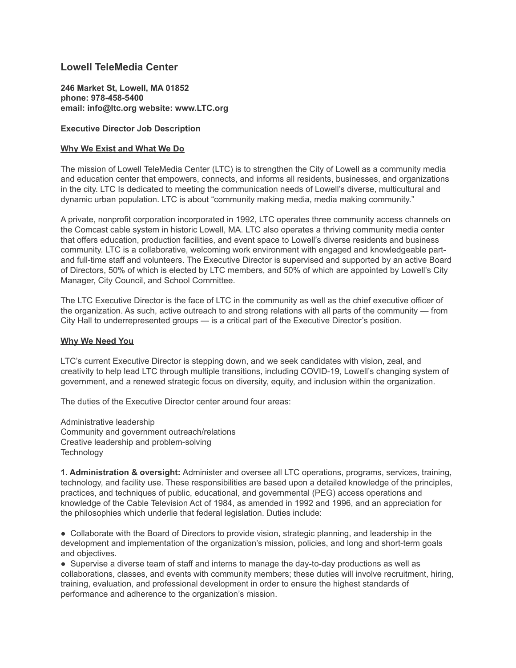## **Lowell TeleMedia Center**

**246 Market St, Lowell, MA 01852 phone: 978-458-5400 email: info@ltc.org website: www.LTC.org**

## **Executive Director Job Description**

## **Why We Exist and What We Do**

The mission of Lowell TeleMedia Center (LTC) is to strengthen the City of Lowell as a community media and education center that empowers, connects, and informs all residents, businesses, and organizations in the city. LTC Is dedicated to meeting the communication needs of Lowell's diverse, multicultural and dynamic urban population. LTC is about "community making media, media making community."

A private, nonprofit corporation incorporated in 1992, LTC operates three community access channels on the Comcast cable system in historic Lowell, MA. LTC also operates a thriving community media center that offers education, production facilities, and event space to Lowell's diverse residents and business community. LTC is a collaborative, welcoming work environment with engaged and knowledgeable partand full-time staff and volunteers. The Executive Director is supervised and supported by an active Board of Directors, 50% of which is elected by LTC members, and 50% of which are appointed by Lowell's City Manager, City Council, and School Committee.

The LTC Executive Director is the face of LTC in the community as well as the chief executive officer of the organization. As such, active outreach to and strong relations with all parts of the community — from City Hall to underrepresented groups — is a critical part of the Executive Director's position.

### **Why We Need You**

LTC's current Executive Director is stepping down, and we seek candidates with vision, zeal, and creativity to help lead LTC through multiple transitions, including COVID-19, Lowell's changing system of government, and a renewed strategic focus on diversity, equity, and inclusion within the organization.

The duties of the Executive Director center around four areas:

Administrative leadership Community and government outreach/relations Creative leadership and problem-solving **Technology** 

**1. Administration & oversight:** Administer and oversee all LTC operations, programs, services, training, technology, and facility use. These responsibilities are based upon a detailed knowledge of the principles, practices, and techniques of public, educational, and governmental (PEG) access operations and knowledge of the Cable Television Act of 1984, as amended in 1992 and 1996, and an appreciation for the philosophies which underlie that federal legislation. Duties include:

● Collaborate with the Board of Directors to provide vision, strategic planning, and leadership in the development and implementation of the organization's mission, policies, and long and short-term goals and objectives.

● Supervise a diverse team of staff and interns to manage the day-to-day productions as well as collaborations, classes, and events with community members; these duties will involve recruitment, hiring, training, evaluation, and professional development in order to ensure the highest standards of performance and adherence to the organization's mission.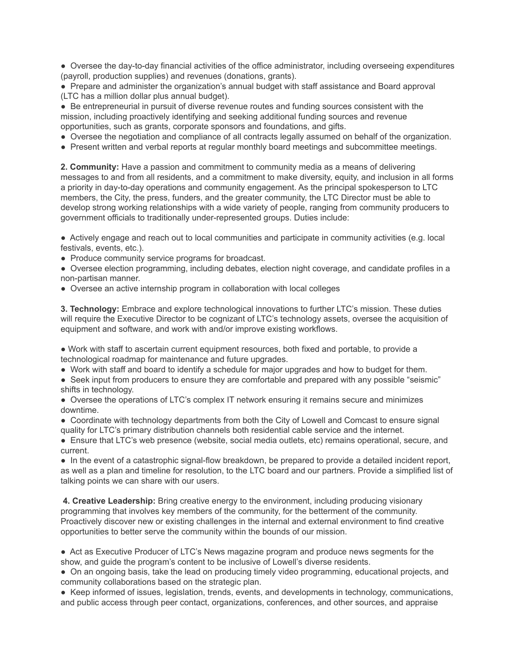● Oversee the day-to-day financial activities of the office administrator, including overseeing expenditures (payroll, production supplies) and revenues (donations, grants).

● Prepare and administer the organization's annual budget with staff assistance and Board approval (LTC has a million dollar plus annual budget).

● Be entrepreneurial in pursuit of diverse revenue routes and funding sources consistent with the mission, including proactively identifying and seeking additional funding sources and revenue opportunities, such as grants, corporate sponsors and foundations, and gifts.

- Oversee the negotiation and compliance of all contracts legally assumed on behalf of the organization.
- Present written and verbal reports at regular monthly board meetings and subcommittee meetings.

**2. Community:** Have a passion and commitment to community media as a means of delivering messages to and from all residents, and a commitment to make diversity, equity, and inclusion in all forms a priority in day-to-day operations and community engagement. As the principal spokesperson to LTC members, the City, the press, funders, and the greater community, the LTC Director must be able to develop strong working relationships with a wide variety of people, ranging from community producers to government officials to traditionally under-represented groups. Duties include:

● Actively engage and reach out to local communities and participate in community activities (e.g. local festivals, events, etc.).

• Produce community service programs for broadcast.

● Oversee election programming, including debates, election night coverage, and candidate profiles in a non-partisan manner.

● Oversee an active internship program in collaboration with local colleges

**3. Technology:** Embrace and explore technological innovations to further LTC's mission. These duties will require the Executive Director to be cognizant of LTC's technology assets, oversee the acquisition of equipment and software, and work with and/or improve existing workflows.

● Work with staff to ascertain current equipment resources, both fixed and portable, to provide a technological roadmap for maintenance and future upgrades.

● Work with staff and board to identify a schedule for major upgrades and how to budget for them.

• Seek input from producers to ensure they are comfortable and prepared with any possible "seismic" shifts in technology.

● Oversee the operations of LTC's complex IT network ensuring it remains secure and minimizes downtime.

• Coordinate with technology departments from both the City of Lowell and Comcast to ensure signal quality for LTC's primary distribution channels both residential cable service and the internet.

● Ensure that LTC's web presence (website, social media outlets, etc) remains operational, secure, and current.

• In the event of a catastrophic signal-flow breakdown, be prepared to provide a detailed incident report, as well as a plan and timeline for resolution, to the LTC board and our partners. Provide a simplified list of talking points we can share with our users.

**4. Creative Leadership:** Bring creative energy to the environment, including producing visionary programming that involves key members of the community, for the betterment of the community. Proactively discover new or existing challenges in the internal and external environment to find creative opportunities to better serve the community within the bounds of our mission.

● Act as Executive Producer of LTC's News magazine program and produce news segments for the show, and guide the program's content to be inclusive of Lowell's diverse residents.

● On an ongoing basis, take the lead on producing timely video programming, educational projects, and community collaborations based on the strategic plan.

● Keep informed of issues, legislation, trends, events, and developments in technology, communications, and public access through peer contact, organizations, conferences, and other sources, and appraise